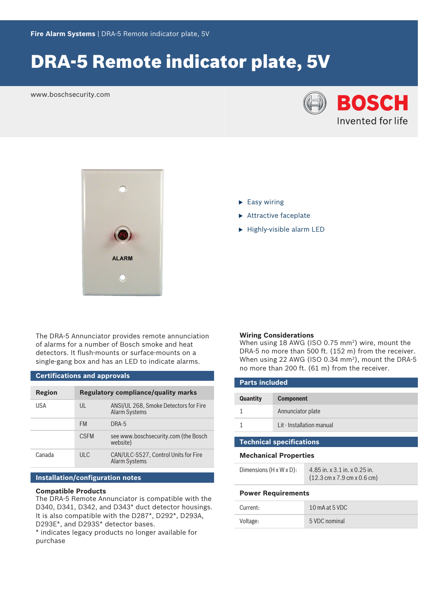# DRA-5 Remote indicator plate, 5V

www.boschsecurity.com





The DRA‑5 Annunciator provides remote annunciation of alarms for a number of Bosch smoke and heat detectors. It flush-mounts or surface-mounts on a single-gang box and has an LED to indicate alarms.

# **Certifications and approvals**

| Region | <b>Regulatory compliance/quality marks</b> |                                                               |
|--------|--------------------------------------------|---------------------------------------------------------------|
| USA    | UL                                         | ANSI/UL 268, Smoke Detectors for Fire<br><b>Alarm Systems</b> |
|        | <b>FM</b>                                  | DRA-5                                                         |
|        | <b>CSEM</b>                                | see www.boschsecurity.com (the Bosch<br>website)              |
| Canada | ULC                                        | CAN/ULC-S527, Control Units for Fire<br><b>Alarm Systems</b>  |

## **Installation/configuration notes**

### **Compatible Products**

The DRA‑5 Remote Annunciator is compatible with the D340, D341, D342, and D343\* duct detector housings. It is also compatible with the D287\*, D292\*, D293A, D293E\*, and D293S\* detector bases.

\* indicates legacy products no longer available for purchase

- $\blacktriangleright$  Easy wiring
- $\blacktriangleright$  Attractive faceplate
- $\blacktriangleright$  Highly-visible alarm LED

#### **Wiring Considerations**

When using 18 AWG (ISO 0.75 mm<sup>2</sup>) wire, mount the DRA-5 no more than 500 ft. (152 m) from the receiver. When using 22 AWG (ISO 0.34 mm<sup>2</sup>), mount the DRA-5 no more than 200 ft. (61 m) from the receiver.

| <b>Parts included</b> |                           |  |
|-----------------------|---------------------------|--|
| <b>Quantity</b>       | <b>Component</b>          |  |
|                       | Annunciator plate         |  |
|                       | Lit - Installation manual |  |

# **Technical specifications**

#### **Mechanical Properties**

| Dimensions $(H \times W \times D)$ : | 4.85 in. x 3.1 in. x 0.25 in.                                   |
|--------------------------------------|-----------------------------------------------------------------|
|                                      | $(12.3 \text{ cm} \times 7.9 \text{ cm} \times 0.6 \text{ cm})$ |

# **Power Requirements**

| Current: | 10 mA at 5 VDC |
|----------|----------------|
| Voltage: | 5 VDC nominal  |